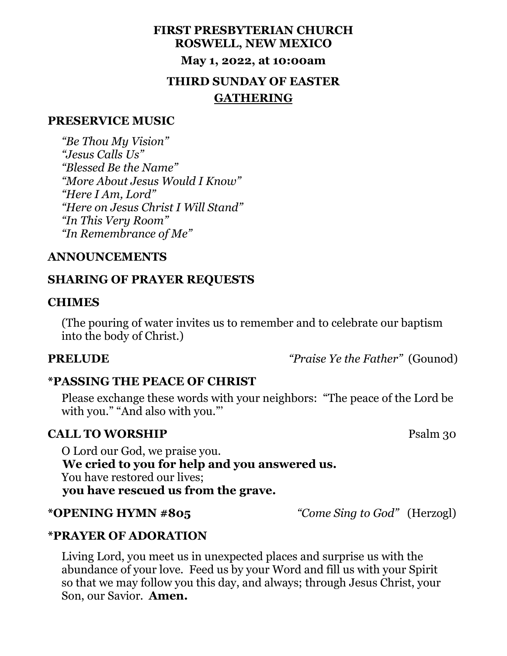# **FIRST PRESBYTERIAN CHURCH ROSWELL, NEW MEXICO May 1, 2022, at 10:00am THIRD SUNDAY OF EASTER GATHERING**

### **PRESERVICE MUSIC**

 *"Be Thou My Vision" "Jesus Calls Us" "Blessed Be the Name" "More About Jesus Would I Know" "Here I Am, Lord" "Here on Jesus Christ I Will Stand" "In This Very Room" "In Remembrance of Me"*

### **ANNOUNCEMENTS**

## **SHARING OF PRAYER REQUESTS**

### **CHIMES**

 (The pouring of water invites us to remember and to celebrate our baptism into the body of Christ.)

**PRELUDE** *"Praise Ye the Father"* (Gounod)

## **\*PASSING THE PEACE OF CHRIST**

 Please exchange these words with your neighbors: "The peace of the Lord be with you." "And also with you."'

## **CALL TO WORSHIP** Psalm 30

 O Lord our God, we praise you.  **We cried to you for help and you answered us.** You have restored our lives;  **you have rescued us from the grave.**

**\*OPENING HYMN #805** *"Come Sing to God"* (Herzogl)

### **\*PRAYER OF ADORATION**

 Living Lord, you meet us in unexpected places and surprise us with the abundance of your love. Feed us by your Word and fill us with your Spirit so that we may follow you this day, and always; through Jesus Christ, your Son, our Savior. **Amen.**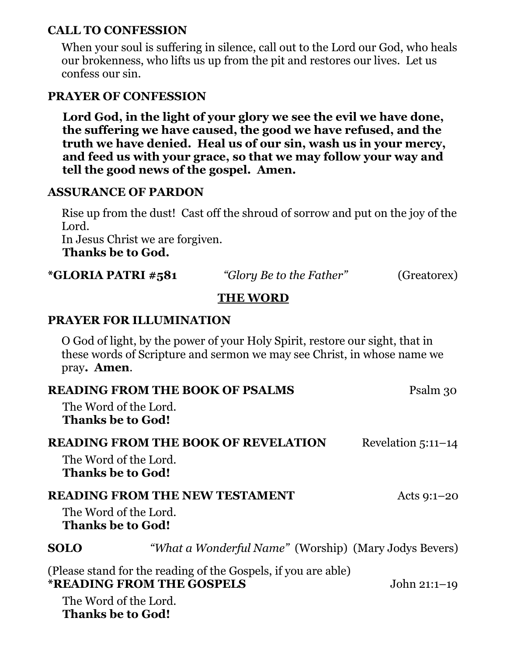## **CALL TO CONFESSION**

 When your soul is suffering in silence, call out to the Lord our God, who heals our brokenness, who lifts us up from the pit and restores our lives. Let us confess our sin.

## **PRAYER OF CONFESSION**

 **Lord God, in the light of your glory we see the evil we have done, the suffering we have caused, the good we have refused, and the truth we have denied. Heal us of our sin, wash us in your mercy, and feed us with your grace, so that we may follow your way and tell the good news of the gospel. Amen.**

## **ASSURANCE OF PARDON**

 Rise up from the dust! Cast off the shroud of sorrow and put on the joy of the Lord. In Jesus Christ we are forgiven.  **Thanks be to God.** 

| *GLORIA PATRI #581 | "Glory Be to the Father" | (Greatorex) |  |  |
|--------------------|--------------------------|-------------|--|--|
| <b>TIIE WODD</b>   |                          |             |  |  |

## **THE WORD**

## **PRAYER FOR ILLUMINATION**

 O God of light, by the power of your Holy Spirit, restore our sight, that in these words of Scripture and sermon we may see Christ, in whose name we pray**. Amen**.

| <b>READING FROM THE BOOK OF PSALMS</b>            |                                                                                                    | Psalm 30             |
|---------------------------------------------------|----------------------------------------------------------------------------------------------------|----------------------|
| The Word of the Lord.<br><b>Thanks be to God!</b> |                                                                                                    |                      |
| The Word of the Lord.<br><b>Thanks be to God!</b> | <b>READING FROM THE BOOK OF REVELATION</b>                                                         | Revelation $5:11-14$ |
|                                                   | <b>READING FROM THE NEW TESTAMENT</b>                                                              | Acts $9:1-20$        |
| The Word of the Lord.<br><b>Thanks be to God!</b> |                                                                                                    |                      |
| <b>SOLO</b>                                       | "What a Wonderful Name" (Worship) (Mary Jodys Bevers)                                              |                      |
|                                                   | (Please stand for the reading of the Gospels, if you are able)<br><b>*READING FROM THE GOSPELS</b> | John $21:1-19$       |
| The Word of the Lord.<br><b>Thanks be to God!</b> |                                                                                                    |                      |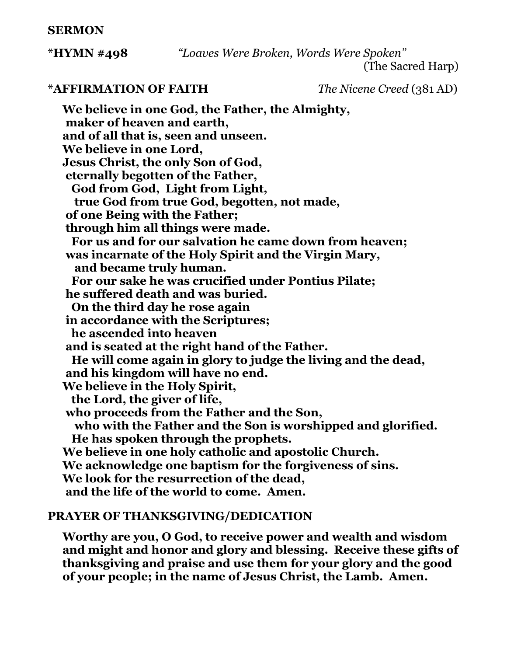### **SERMON**

**\*HYMN #498** *"Loaves Were Broken, Words Were Spoken"* 

(The Sacred Harp)

**\*AFFIRMATION OF FAITH** *The Nicene Creed* (381 AD)

**We believe in one God, the Father, the Almighty, maker of heaven and earth, and of all that is, seen and unseen. We believe in one Lord, Jesus Christ, the only Son of God, eternally begotten of the Father, God from God, Light from Light, true God from true God, begotten, not made, of one Being with the Father; through him all things were made. For us and for our salvation he came down from heaven; was incarnate of the Holy Spirit and the Virgin Mary, and became truly human. For our sake he was crucified under Pontius Pilate; he suffered death and was buried. On the third day he rose again in accordance with the Scriptures; he ascended into heaven and is seated at the right hand of the Father. He will come again in glory to judge the living and the dead, and his kingdom will have no end. We believe in the Holy Spirit, the Lord, the giver of life, who proceeds from the Father and the Son, who with the Father and the Son is worshipped and glorified. He has spoken through the prophets. We believe in one holy catholic and apostolic Church. We acknowledge one baptism for the forgiveness of sins. We look for the resurrection of the dead, and the life of the world to come. Amen.**

## **PRAYER OF THANKSGIVING/DEDICATION**

 **Worthy are you, O God, to receive power and wealth and wisdom and might and honor and glory and blessing. Receive these gifts of thanksgiving and praise and use them for your glory and the good of your people; in the name of Jesus Christ, the Lamb. Amen.**